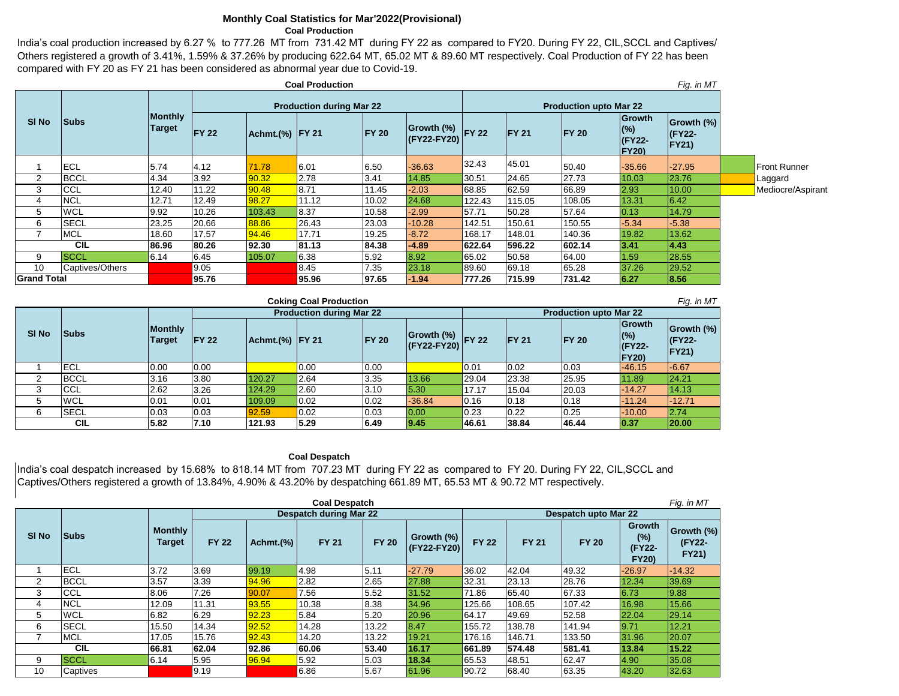#### **Monthly Coal Statistics for Mar'2022(Provisional) Coal Production**

India's coal production increased by 6.27 % to 777.26 MT from 731.42 MT during FY 22 as compared to FY20. During FY 22, CIL,SCCL and Captives/ Others registered a growth of 3.41%, 1.59% & 37.26% by producing 622.64 MT, 65.02 MT & 89.60 MT respectively. Coal Production of FY 22 has been compared with FY 20 as FY 21 has been considered as abnormal year due to Covid-19.

|                    | <b>Coal Production</b> |                                 |              |                 |                                 |              |                                 |                               |               | Fig. in MT    |                                            |                                             |                     |
|--------------------|------------------------|---------------------------------|--------------|-----------------|---------------------------------|--------------|---------------------------------|-------------------------------|---------------|---------------|--------------------------------------------|---------------------------------------------|---------------------|
|                    |                        |                                 |              |                 | <b>Production during Mar 22</b> |              |                                 | <b>Production upto Mar 22</b> |               |               |                                            |                                             |                     |
| SI <sub>No</sub>   | <b>Subs</b>            | <b>Monthly</b><br><b>Target</b> | <b>FY 22</b> | Achmt.(%) FY 21 |                                 | <b>FY 20</b> | Growth (%) FY 22<br>(FY22-FY20) |                               | <b>IFY 21</b> | <b>IFY 20</b> | Growth<br>$(\%)$<br>(FY22-<br><b>FY20)</b> | Growth (%)<br><b>(FY22-</b><br><b>FY21)</b> |                     |
|                    | ECL                    | 5.74                            | 4.12         | 71.78           | 6.01                            | 6.50         | $-36.63$                        | 32.43                         | 45.01         | 50.40         | $-35.66$                                   | $-27.95$                                    | <b>Front Runner</b> |
| $\overline{2}$     | <b>BCCL</b>            | 4.34                            | 3.92         | 90.32           | 2.78                            | 3.41         | 14.85                           | 30.51                         | 24.65         | 27.73         | 10.03                                      | 23.76                                       | Laggard             |
| 3                  | <b>CCL</b>             | 12.40                           | 11.22        | 90.48           | 8.71                            | 11.45        | $-2.03$                         | 68.85                         | 62.59         | 66.89         | 2.93                                       | 10.00                                       | Mediocre/Aspirant   |
| 4                  | <b>NCL</b>             | 12.71                           | 12.49        | 98.27           | 11.12                           | 10.02        | 24.68                           | 122.43                        | 115.05        | 108.05        | 13.31                                      | 6.42                                        |                     |
| 5                  | <b>WCL</b>             | 9.92                            | 10.26        | 103.43          | 8.37                            | 10.58        | $-2.99$                         | 57.71                         | 50.28         | 57.64         | 0.13                                       | 14.79                                       |                     |
| 6                  | <b>SECL</b>            | 23.25                           | 20.66        | 88.86           | 26.43                           | 23.03        | $-10.28$                        | 142.51                        | 150.61        | 150.55        | $-5.34$                                    | $-5.38$                                     |                     |
|                    | <b>MCL</b>             | 18.60                           | 17.57        | 94.46           | 17.71                           | 19.25        | $-8.72$                         | 168.17                        | 148.01        | 140.36        | 19.82                                      | 13.62                                       |                     |
|                    | <b>CIL</b>             | 86.96                           | 80.26        | 92.30           | 81.13                           | 84.38        | $-4.89$                         | 622.64                        | 596.22        | 602.14        | 3.41                                       | 4.43                                        |                     |
| 9                  | <b>SCCL</b>            | 6.14                            | 6.45         | 105.07          | 6.38                            | 5.92         | 8.92                            | 65.02                         | 50.58         | 64.00         | 1.59                                       | 28.55                                       |                     |
| 10                 | Captives/Others        |                                 | 9.05         |                 | 8.45                            | 7.35         | 23.18                           | 89.60                         | 69.18         | 65.28         | 37.26                                      | 29.52                                       |                     |
| <b>Grand Total</b> |                        |                                 | 95.76        |                 | 95.96                           | 97.65        | $-1.94$                         | 777.26                        | 715.99        | 731.42        | 6.27                                       | 8.56                                        |                     |

| <b>Coking Coal Production</b> |             |                                 |               |                      |                                 |               |                                                           |       |               |                               |                                                |                                 |
|-------------------------------|-------------|---------------------------------|---------------|----------------------|---------------------------------|---------------|-----------------------------------------------------------|-------|---------------|-------------------------------|------------------------------------------------|---------------------------------|
|                               |             |                                 |               |                      | <b>Production during Mar 22</b> |               |                                                           |       |               | <b>Production upto Mar 22</b> |                                                |                                 |
| SI <sub>No</sub>              | <b>Subs</b> | <b>Monthly</b><br><b>Target</b> | <b>IFY 22</b> | $ Achmt.(%)$   FY 21 |                                 | <b>IFY 20</b> | $\boxed{\text{Growth} \binom{\%}{}}$ FY 22<br>(FY22-FY20) |       | <b>IFY 21</b> | <b>IFY 20</b>                 | Growth<br>(%)<br><b>IFY22-</b><br><b>FY20)</b> | Growth (%)<br>$IFY22-$<br>FY21) |
|                               | <b>IECL</b> | 0.00                            | 0.00          |                      | 0.00                            | 0.00          |                                                           | 0.01  | 0.02          | 0.03                          | $-46.15$                                       | $-6.67$                         |
|                               | <b>BCCL</b> | 3.16                            | 3.80          | 120.27               | 2.64                            | 3.35          | 13.66                                                     | 29.04 | 23.38         | 25.95                         | 11.89                                          | 124.21                          |
|                               | <b>CCL</b>  | 2.62                            | 3.26          | 124.29               | 2.60                            | 3.10          | 5.30                                                      | 17.17 | 15.04         | 20.03                         | $-14.27$                                       | 14.13                           |
| 5                             | <b>WCL</b>  | 0.01                            | 0.01          | 109.09               | 0.02                            | 0.02          | $-36.84$                                                  | 0.16  | 0.18          | 0.18                          | $-11.24$                                       | $-12.71$                        |
| 6                             | <b>SECL</b> | 0.03                            | 0.03          | 92.59                | 0.02                            | 0.03          | 0.00                                                      | 0.23  | 0.22          | 0.25                          | $-10.00$                                       | 2.74                            |
|                               | <b>CIL</b>  | 5.82                            | 7.10          | 121.93               | 5.29                            | 6.49          | 9.45                                                      | 46.61 | 38.84         | 46.44                         | 0.37                                           | 20.00                           |

### **Coal Despatch**

India's coal despatch increased by 15.68% to 818.14 MT from 707.23 MT during FY 22 as compared to FY 20. During FY 22, CIL,SCCL and Captives/Others registered a growth of 13.84%, 4.90% & 43.20% by despatching 661.89 MT, 65.53 MT & 90.72 MT respectively.

| Fig. in MT<br><b>Coal Despatch</b> |             |                          |              |              |                               |              |                           |              |              |                      |                                                |                                      |  |
|------------------------------------|-------------|--------------------------|--------------|--------------|-------------------------------|--------------|---------------------------|--------------|--------------|----------------------|------------------------------------------------|--------------------------------------|--|
|                                    |             |                          |              |              | <b>Despatch during Mar 22</b> |              |                           |              |              | Despatch upto Mar 22 |                                                |                                      |  |
| SI <sub>No</sub>                   | <b>Subs</b> | <b>Monthly</b><br>Target | <b>FY 22</b> | Achmt. $(%)$ | <b>FY 21</b>                  | <b>FY 20</b> | Growth (%)<br>(FY22-FY20) | <b>FY 22</b> | <b>FY 21</b> | <b>FY 20</b>         | <b>Growth</b><br>(%)<br>(FY22-<br><b>FY20)</b> | Growth (%)<br>(FY22-<br><b>FY21)</b> |  |
|                                    | <b>ECL</b>  | 3.72                     | 3.69         | 99.19        | 4.98                          | 5.11         | $-27.79$                  | 36.02        | 42.04        | 49.32                | $-26.97$                                       | $-14.32$                             |  |
| 2                                  | <b>BCCL</b> | 3.57                     | 3.39         | 94.96        | 2.82                          | 2.65         | 27.88                     | 32.31        | 23.13        | 28.76                | 12.34                                          | 39.69                                |  |
| 3                                  | <b>CCL</b>  | 8.06                     | 7.26         | 90.07        | 7.56                          | 5.52         | 31.52                     | 71.86        | 65.40        | 67.33                | 6.73                                           | 9.88                                 |  |
| 4                                  | <b>NCL</b>  | 12.09                    | 11.31        | 93.55        | 10.38                         | 8.38         | 34.96                     | 125.66       | 108.65       | 107.42               | 16.98                                          | 15.66                                |  |
| 5                                  | <b>WCL</b>  | 6.82                     | 6.29         | 92.23        | 5.84                          | 5.20         | 20.96                     | 64.17        | 49.69        | 52.58                | 22.04                                          | 29.14                                |  |
| 6                                  | <b>SECL</b> | 15.50                    | 14.34        | 92.52        | 14.28                         | 13.22        | 8.47                      | 155.72       | 138.78       | 141.94               | 9.71                                           | 12.21                                |  |
|                                    | <b>MCL</b>  | 17.05                    | 15.76        | 92.43        | 14.20                         | 13.22        | 19.21                     | 176.16       | 146.71       | 133.50               | 31.96                                          | 20.07                                |  |
|                                    | <b>CIL</b>  | 66.81                    | 62.04        | 92.86        | 60.06                         | 53.40        | 16.17                     | 661.89       | 574.48       | 581.41               | 13.84                                          | 15.22                                |  |
| 9                                  | <b>SCCL</b> | 6.14                     | 5.95         | 96.94        | 5.92                          | 5.03         | 18.34                     | 65.53        | 48.51        | 62.47                | 4.90                                           | 35.08                                |  |
| 10                                 | Captives    |                          | 9.19         |              | 6.86                          | 5.67         | 61.96                     | 90.72        | 68.40        | 63.35                | 43.20                                          | 32.63                                |  |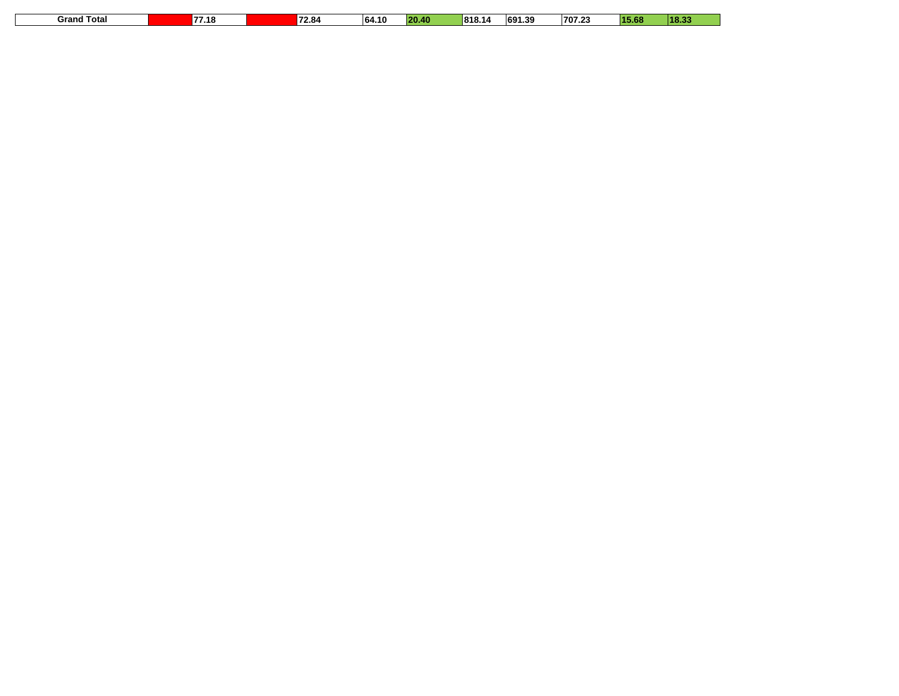| 77.18<br>Total<br>Grand | 72.84 | 64.10 | .<br>20<br>. | 818.<br>14 | 691.39 | 707.23 | 15.68 | 18.33 |
|-------------------------|-------|-------|--------------|------------|--------|--------|-------|-------|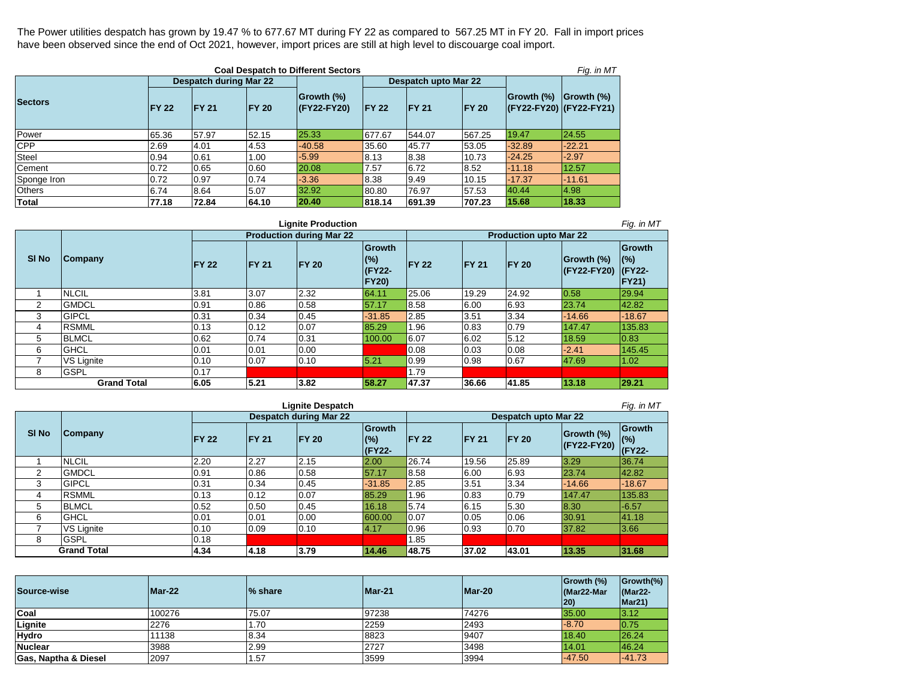The Power utilities despatch has grown by 19.47 % to 677.67 MT during FY 22 as compared to 567.25 MT in FY 20. Fall in import prices have been observed since the end of Oct 2021, however, import prices are still at high level to discouarge coal import.

| <b>Coal Despatch to Different Sectors</b><br>Fig. in MT |              |                               |               |                               |               |                      |               |                                               |            |  |  |  |
|---------------------------------------------------------|--------------|-------------------------------|---------------|-------------------------------|---------------|----------------------|---------------|-----------------------------------------------|------------|--|--|--|
|                                                         |              | <b>Despatch during Mar 22</b> |               |                               |               | Despatch upto Mar 22 |               |                                               |            |  |  |  |
| <b>Sectors</b>                                          | <b>FY 22</b> | <b>FY 21</b>                  | <b>IFY 20</b> | Growth (%)<br>$ $ (FY22-FY20) | <b>IFY 22</b> | <b>IFY 21</b>        | <b>IFY 20</b> | Growth (%)<br>$ $ (FY22-FY20) $ $ (FY22-FY21) | Growth (%) |  |  |  |
| Power                                                   | 65.36        | 57.97                         | 52.15         | 25.33                         | 677.67        | 544.07               | 567.25        | 19.47                                         | 24.55      |  |  |  |
| <b>CPP</b>                                              | 2.69         | 4.01                          | 4.53          | $-40.58$                      | 35.60         | 45.77                | 53.05         | $-32.89$                                      | $-22.21$   |  |  |  |
| <b>Steel</b>                                            | 0.94         | 0.61                          | 1.00          | $-5.99$                       | 8.13          | 8.38                 | 10.73         | $-24.25$                                      | $-2.97$    |  |  |  |
| Cement                                                  | 0.72         | 0.65                          | 0.60          | 20.08                         | 7.57          | 6.72                 | 8.52          | $-11.18$                                      | 12.57      |  |  |  |
| Sponge Iron                                             | 0.72         | 0.97                          | 0.74          | $-3.36$                       | 8.38          | 9.49                 | 10.15         | $-17.37$                                      | $-11.61$   |  |  |  |
| Others                                                  | 6.74         | 8.64                          | 5.07          | 32.92                         | 80.80         | 76.97                | 57.53         | 40.44                                         | 14.98      |  |  |  |
| Total                                                   | 77.18        | 72.84                         | 64.10         | 20.40                         | 818.14        | 691.39               | 707.23        | 15.68                                         | 18.33      |  |  |  |

| Fig. in MT<br><b>Lignite Production</b>                                                          |              |               |               |                                 |                                         |               |               |                               |                           |                                           |  |  |  |
|--------------------------------------------------------------------------------------------------|--------------|---------------|---------------|---------------------------------|-----------------------------------------|---------------|---------------|-------------------------------|---------------------------|-------------------------------------------|--|--|--|
|                                                                                                  |              |               |               | <b>Production during Mar 22</b> |                                         |               |               | <b>Production upto Mar 22</b> |                           |                                           |  |  |  |
| SI <sub>No</sub>                                                                                 | Company      | <b>IFY 22</b> | <b>IFY 21</b> | <b>FY 20</b>                    | Growth<br>(%)<br>(FY22-<br><b>FY20)</b> | <b>IFY 22</b> | <b>IFY 21</b> | <b>IFY 20</b>                 | Growth (%)<br>(FY22-FY20) | Growth<br>(%)<br>$CFY22-$<br><b>FY21)</b> |  |  |  |
|                                                                                                  | <b>NLCIL</b> | 3.81          | 3.07          | 2.32                            | 64.11                                   | 25.06         | 19.29         | 24.92                         | 0.58                      | 29.94                                     |  |  |  |
| 2                                                                                                | <b>GMDCL</b> | 0.91          | 0.86          | 0.58                            | 57.17                                   | 8.58          | 6.00          | 6.93                          | 23.74                     | 42.82                                     |  |  |  |
| 3                                                                                                | <b>GIPCL</b> | 0.31          | 0.34          | 0.45                            | $-31.85$                                | 2.85          | 3.51          | 3.34                          | $-14.66$                  | $-18.67$                                  |  |  |  |
| 4                                                                                                | <b>RSMML</b> | 0.13          | 0.12          | 0.07                            | 85.29                                   | 1.96          | 0.83          | 0.79                          | 147.47                    | 135.83                                    |  |  |  |
| 5                                                                                                | <b>BLMCL</b> | 0.62          | 0.74          | 0.31                            | 100.00                                  | 6.07          | 6.02          | 5.12                          | 18.59                     | 0.83                                      |  |  |  |
| 6                                                                                                | <b>GHCL</b>  | 0.01          | 0.01          | 0.00                            |                                         | 0.08          | 0.03          | 0.08                          | $-2.41$                   | 145.45                                    |  |  |  |
|                                                                                                  | VS Lignite   | 0.10          | 0.07          | 0.10                            | 5.21                                    | 0.99          | 0.98          | 0.67                          | 47.69                     | 1.02                                      |  |  |  |
| 8                                                                                                | <b>GSPL</b>  | 0.17          |               |                                 |                                         | 1.79          |               |                               |                           |                                           |  |  |  |
| <b>Grand Total</b><br>5.21<br>3.82<br>13.18<br>29.21<br>6.05<br>47.37<br>58.27<br>36.66<br>41.85 |              |               |               |                                 |                                         |               |               |                               |                           |                                           |  |  |  |

| Fig. in MT<br><b>Lignite Despatch</b> |                    |              |               |                               |                                |              |               |                      |                           |                                   |  |  |
|---------------------------------------|--------------------|--------------|---------------|-------------------------------|--------------------------------|--------------|---------------|----------------------|---------------------------|-----------------------------------|--|--|
|                                       |                    |              |               | <b>Despatch during Mar 22</b> |                                |              |               | Despatch upto Mar 22 |                           |                                   |  |  |
| <b>SI No</b>                          | <b>Company</b>     | <b>FY 22</b> | <b>IFY 21</b> | <b>IFY 20</b>                 | <b>Growth</b><br>(%)<br>(FY22- | <b>FY 22</b> | <b>IFY 21</b> | <b>FY 20</b>         | Growth (%)<br>(FY22-FY20) | <b>Growth</b><br>$(\%)$<br>(FY22- |  |  |
|                                       | <b>NLCIL</b>       | 2.20         | 2.27          | 2.15                          | 2.00                           | 26.74        | 19.56         | 25.89                | 3.29                      | 36.74                             |  |  |
| 2                                     | <b>GMDCL</b>       | 0.91         | 0.86          | 0.58                          | 57.17                          | 8.58         | 6.00          | 6.93                 | 23.74                     | 42.82                             |  |  |
| 3                                     | <b>GIPCL</b>       | 0.31         | 0.34          | 0.45                          | $-31.85$                       | 2.85         | 3.51          | 3.34                 | $-14.66$                  | $-18.67$                          |  |  |
| 4                                     | <b>RSMML</b>       | 0.13         | 0.12          | 0.07                          | 85.29                          | 1.96         | 0.83          | 0.79                 | 147.47                    | 135.83                            |  |  |
| 5                                     | <b>BLMCL</b>       | 0.52         | 0.50          | 0.45                          | 16.18                          | 5.74         | 6.15          | 5.30                 | 8.30                      | $-6.57$                           |  |  |
| 6                                     | <b>GHCL</b>        | 0.01         | 0.01          | 0.00                          | 600.00                         | 0.07         | 0.05          | 0.06                 | 30.91                     | 41.18                             |  |  |
|                                       | VS Lignite         | 0.10         | 0.09          | 0.10                          | 4.17                           | 0.96         | 0.93          | 0.70                 | 37.82                     | 3.66                              |  |  |
| 8                                     | <b>GSPL</b>        | 0.18         |               |                               |                                | 1.85         |               |                      |                           |                                   |  |  |
|                                       | <b>Grand Total</b> | 4.34         | 4.18          | 3.79                          | 14.46                          | 48.75        | 37.02         | 43.01                | 13.35                     | 31.68                             |  |  |

| Source-wise          | Mar-22 | % share | Mar-21 | $Mar-20$ | Growth (%)<br>Mar22-Mar<br>$ 20\rangle$ | $Growth$ (%)<br>$\sqrt{\text{Mar22}}$ -<br>Mar21) |
|----------------------|--------|---------|--------|----------|-----------------------------------------|---------------------------------------------------|
| Coal                 | 100276 | 75.07   | 97238  | 74276    | 35.00                                   | 3.12                                              |
| Lignite              | 2276   | 1.70    | 2259   | 2493     | $-8.70$                                 | 10.75                                             |
| Hydro                | 11138  | 8.34    | 8823   | 9407     | 18.40                                   | 26.24                                             |
| <b>Nuclear</b>       | 3988   | 2.99    | 2727   | 3498     | 14.01                                   | 46.24                                             |
| Gas, Naptha & Diesel | 2097   | .57     | 3599   | 3994     | $-47.50$                                | $-41.73$                                          |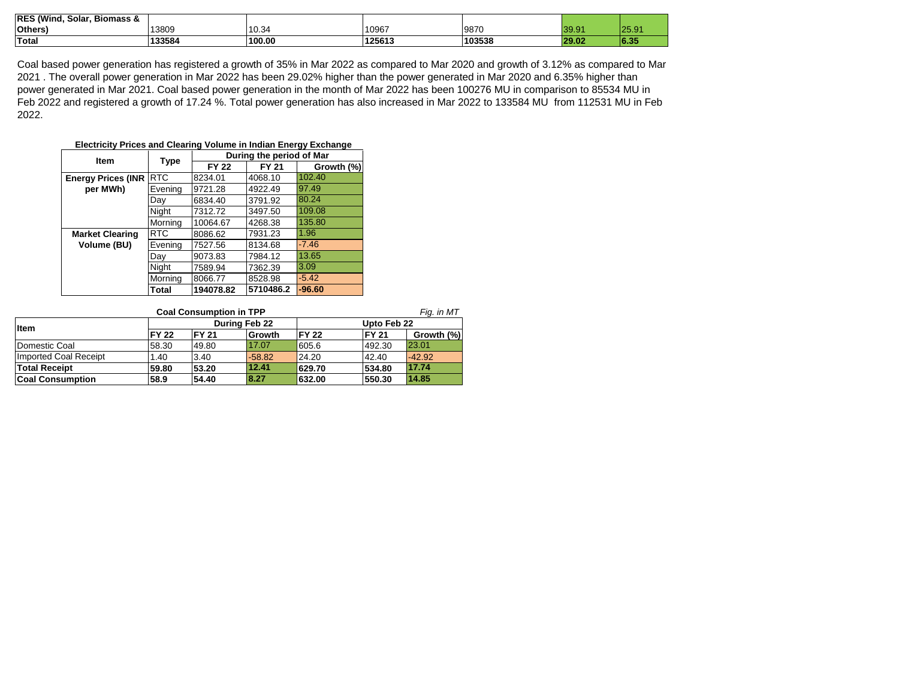| <b>IRES</b><br>(Wind,<br><b>Biomass &amp;</b><br>Solar. |        |        |        |        |                          |                          |
|---------------------------------------------------------|--------|--------|--------|--------|--------------------------|--------------------------|
| <b>Others</b>                                           | 13809  | 10.34  | 10967  | 9870   | ∘ם ב<br>$\sim$<br>∣ ບອ.ອ | 25.91                    |
| Total                                                   | 133584 | 100.00 | 125613 | 103538 | 29.02                    | <b>COF</b><br><b>ORD</b> |

Coal based power generation has registered a growth of 35% in Mar 2022 as compared to Mar 2020 and growth of 3.12% as compared to Mar 2021 . The overall power generation in Mar 2022 has been 29.02% higher than the power generated in Mar 2020 and 6.35% higher than power generated in Mar 2021. Coal based power generation in the month of Mar 2022 has been 100276 MU in comparison to 85534 MU in Feb 2022 and registered a growth of 17.24 %. Total power generation has also increased in Mar 2022 to 133584 MU from 112531 MU in Feb 2022.

#### **Electricity Prices and Clearing Volume in Indian Energy Exchange**

| <b>Item</b>               |            |              | During the period of Mar |            |
|---------------------------|------------|--------------|--------------------------|------------|
|                           | Type       | <b>FY 22</b> | <b>FY 21</b>             | Growth (%) |
| <b>Energy Prices (INR</b> | <b>RTC</b> | 8234.01      | 4068.10                  | 102.40     |
| per MWh)                  | Evening    | 9721.28      | 4922.49                  | 97.49      |
|                           | Day        | 6834.40      | 3791.92                  | 80.24      |
|                           | Night      | 7312.72      | 3497.50                  | 109.08     |
|                           | Morning    | 10064.67     | 4268.38                  | 135.80     |
| <b>Market Clearing</b>    | RTC        | 8086.62      | 7931.23                  | 1.96       |
| Volume (BU)               | Evening    | 7527.56      | 8134.68                  | $-7.46$    |
|                           | Day        | 9073.83      | 7984.12                  | 13.65      |
|                           | Night      | 7589.94      | 7362.39                  | 3.09       |
|                           | Morning    | 8066.77      | 8528.98                  | $-5.42$    |
|                           | Total      | 194078.82    | 5710486.2                | $-96.60$   |

| Fig. in MT<br><b>Coal Consumption in TPP</b> |              |                      |          |               |               |            |  |  |  |
|----------------------------------------------|--------------|----------------------|----------|---------------|---------------|------------|--|--|--|
| <b>Item</b>                                  |              | <b>During Feb 22</b> |          | Upto Feb 22   |               |            |  |  |  |
|                                              | <b>FY 22</b> | <b>FY 21</b>         | Growth   | <b>IFY 22</b> | <b>IFY 21</b> | Growth (%) |  |  |  |
| Domestic Coal                                | 58.30        | 49.80                | 17.07    | 605.6         | 492.30        | 23.01      |  |  |  |
| <b>Imported Coal Receipt</b>                 | 1.40         | 3.40                 | $-58.82$ | 24.20         | 42.40         | $-42.92$   |  |  |  |
| <b>Total Receipt</b>                         | 59.80        | 53.20                | 12.41    | 629.70        | 534.80        | 17.74      |  |  |  |
| <b>Coal Consumption</b>                      | 58.9         | 54.40                | 8.27     | 632.00        | 550.30        | 14.85      |  |  |  |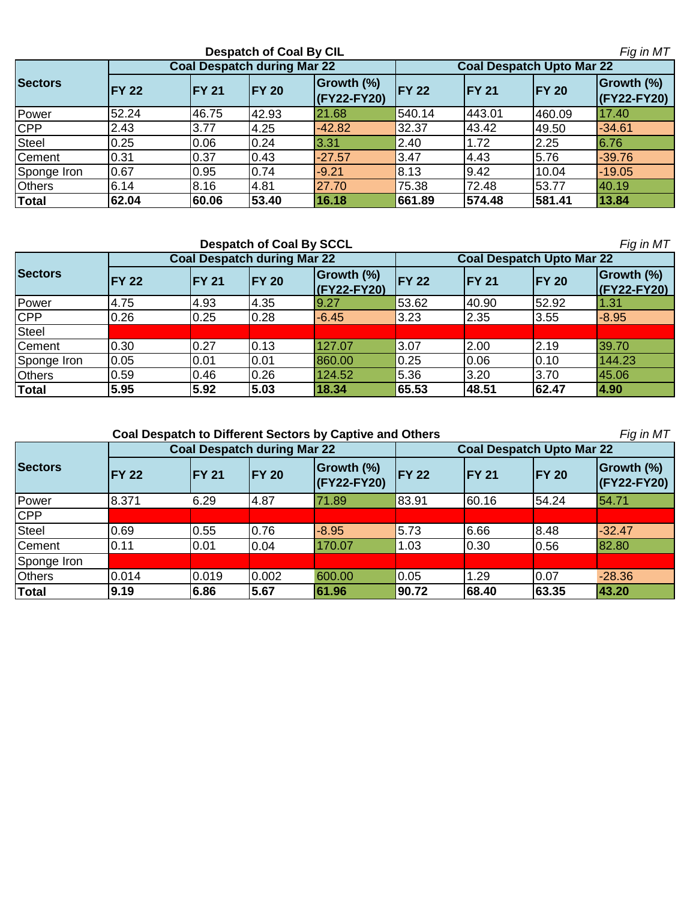|                |              |                                    | <b>Despatch of Coal By CIL</b> |                           | Fig in MT    |               |                                  |                               |  |
|----------------|--------------|------------------------------------|--------------------------------|---------------------------|--------------|---------------|----------------------------------|-------------------------------|--|
|                |              | <b>Coal Despatch during Mar 22</b> |                                |                           |              |               | <b>Coal Despatch Upto Mar 22</b> |                               |  |
| <b>Sectors</b> | <b>FY 22</b> | <b>FY 21</b>                       | <b>IFY 20</b>                  | Growth (%)<br>(FY22-FY20) | <b>FY 22</b> | <b>IFY 21</b> | <b>IFY 20</b>                    | Growth (%)<br>$ $ (FY22-FY20) |  |
| Power          | 52.24        | 46.75                              | 42.93                          | 21.68                     | 540.14       | 443.01        | 460.09                           | 17.40                         |  |
| <b>CPP</b>     | 2.43         | 3.77                               | 4.25                           | $-42.82$                  | 32.37        | 43.42         | 49.50                            | $-34.61$                      |  |
| Steel          | 0.25         | 0.06                               | 0.24                           | 3.31                      | 2.40         | 1.72          | 2.25                             | 6.76                          |  |
| Cement         | 0.31         | 0.37                               | 0.43                           | $-27.57$                  | 3.47         | 4.43          | 5.76                             | $-39.76$                      |  |
| Sponge Iron    | 0.67         | 0.95                               | 0.74                           | $-9.21$                   | 8.13         | 9.42          | 10.04                            | $-19.05$                      |  |
| <b>Others</b>  | 6.14         | 8.16                               | 4.81                           | 27.70                     | 75.38        | 72.48         | 53.77                            | 40.19                         |  |
| <b>Total</b>   | 62.04        | 60.06                              | 53.40                          | 16.18                     | 661.89       | 574.48        | 581.41                           | 13.84                         |  |

|                |              |                                    | <b>Despatch of Coal By SCCL</b> |                             |              |               |                                  | Fig in MT                     |
|----------------|--------------|------------------------------------|---------------------------------|-----------------------------|--------------|---------------|----------------------------------|-------------------------------|
|                |              | <b>Coal Despatch during Mar 22</b> |                                 |                             |              |               | <b>Coal Despatch Upto Mar 22</b> |                               |
| <b>Sectors</b> | <b>FY 22</b> | <b>IFY 21</b>                      | <b>FY 20</b>                    | Growth (%)<br>$(KY22-FY20)$ | <b>FY 22</b> | <b>IFY 21</b> | <b>FY 20</b>                     | Growth (%)<br>$ $ (FY22-FY20) |
| Power          | 4.75         | 4.93                               | 4.35                            | 19.27                       | 53.62        | 40.90         | 52.92                            | 1.31                          |
| <b>CPP</b>     | 0.26         | 0.25                               | 0.28                            | $-6.45$                     | 3.23         | 2.35          | 3.55                             | $-8.95$                       |
| Steel          |              |                                    |                                 |                             |              |               |                                  |                               |
| Cement         | 0.30         | 0.27                               | 0.13                            | 127.07                      | 3.07         | 2.00          | 2.19                             | 39.70                         |
| Sponge Iron    | 0.05         | 0.01                               | 0.01                            | 860.00                      | 0.25         | 0.06          | 0.10                             | 144.23                        |
| <b>Others</b>  | 0.59         | 0.46                               | 0.26                            | 124.52                      | 5.36         | 3.20          | 3.70                             | 45.06                         |
| Total          | 5.95         | 5.92                               | 5.03                            | 18.34                       | 65.53        | 48.51         | 62.47                            | 4.90                          |

 **Coal Despatch to Different Sectors by Captive and Others** 

*Fig in MT*

|                |              | <b>Coal Despatch during Mar 22</b> |               |                           | <b>Coal Despatch Upto Mar 22</b> |               |               |                           |  |
|----------------|--------------|------------------------------------|---------------|---------------------------|----------------------------------|---------------|---------------|---------------------------|--|
| <b>Sectors</b> | <b>FY 22</b> | <b>FY 21</b>                       | <b>IFY 20</b> | Growth (%)<br>(FY22-FY20) | <b>IFY 22</b>                    | <b>IFY 21</b> | <b>IFY 20</b> | Growth (%)<br>(FY22-FY20) |  |
| Power          | 8.371        | 6.29                               | 4.87          | 71.89                     | 83.91                            | 60.16         | 54.24         | 54.71                     |  |
| <b>CPP</b>     |              |                                    |               |                           |                                  |               |               |                           |  |
| Steel          | 0.69         | 0.55                               | 0.76          | $-8.95$                   | 5.73                             | 6.66          | 8.48          | $-32.47$                  |  |
| Cement         | 0.11         | 0.01                               | 0.04          | 170.07                    | 1.03                             | 0.30          | 0.56          | 82.80                     |  |
| Sponge Iron    |              |                                    |               |                           |                                  |               |               |                           |  |
| <b>Others</b>  | 0.014        | 0.019                              | 0.002         | 600.00                    | 0.05                             | 1.29          | 0.07          | $-28.36$                  |  |
| <b>Total</b>   | 9.19         | 6.86                               | 5.67          | 61.96                     | 90.72                            | 68.40         | 63.35         | 43.20                     |  |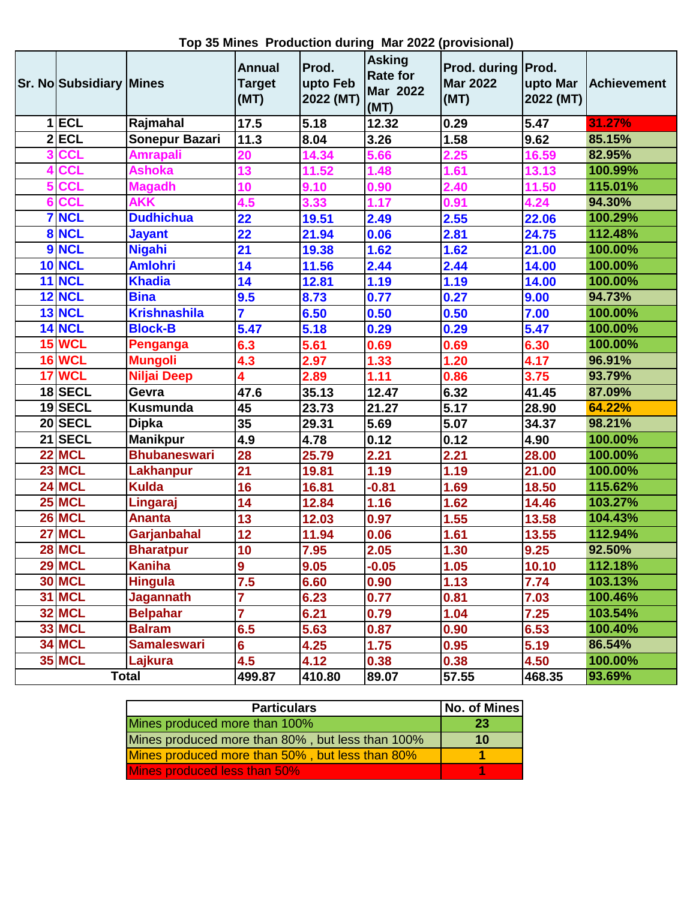| <b>Sr. No Subsidiary Mines</b> |                     | <b>Annual</b><br><b>Target</b><br>(MT) | Prod.<br>upto Feb<br>2022 (MT) | <b>Asking</b><br><b>Rate for</b><br><b>Mar 2022</b><br>(MT) | Prod. during   Prod.<br><b>Mar 2022</b><br>(MT) | upto Mar<br>2022 (MT) | <b>Achievement</b> |
|--------------------------------|---------------------|----------------------------------------|--------------------------------|-------------------------------------------------------------|-------------------------------------------------|-----------------------|--------------------|
| $1$ <b>ECL</b>                 | Rajmahal            | 17.5                                   | 5.18                           | 12.32                                                       | 0.29                                            | 5.47                  | 31.27%             |
| $2$ ECL                        | Sonepur Bazari      | 11.3                                   | 8.04                           | 3.26                                                        | 1.58                                            | 9.62                  | 85.15%             |
| <b>CCL</b>                     | <b>Amrapali</b>     | 20                                     | 14.34                          | 5.66                                                        | 2.25                                            | 16.59                 | 82.95%             |
| <b>CCL</b>                     | <b>Ashoka</b>       | 13                                     | 11.52                          | 1.48                                                        | 1.61                                            | 13.13                 | 100.99%            |
| 5 CCL                          | <b>Magadh</b>       | 10                                     | 9.10                           | 0.90                                                        | 2.40                                            | 11.50                 | 115.01%            |
| 6 CCL                          | <b>AKK</b>          | 4.5                                    | 3.33                           | 1.17                                                        | 0.91                                            | 4.24                  | 94.30%             |
| <b>7 NCL</b>                   | <b>Dudhichua</b>    | 22                                     | 19.51                          | 2.49                                                        | 2.55                                            | 22.06                 | 100.29%            |
| 8 NCL                          | <b>Jayant</b>       | 22                                     | 21.94                          | 0.06                                                        | 2.81                                            | 24.75                 | 112.48%            |
| 9 NCL                          | <b>Nigahi</b>       | $\overline{21}$                        | 19.38                          | 1.62                                                        | 1.62                                            | 21.00                 | 100.00%            |
| <b>10 NCL</b>                  | <b>Amlohri</b>      | 14                                     | 11.56                          | 2.44                                                        | 2.44                                            | 14.00                 | 100.00%            |
| <b>11 NCL</b>                  | <b>Khadia</b>       | 14                                     | 12.81                          | 1.19                                                        | 1.19                                            | 14.00                 | 100.00%            |
| <b>12 NCL</b>                  | <b>Bina</b>         | 9.5                                    | 8.73                           | 0.77                                                        | 0.27                                            | 9.00                  | 94.73%             |
| 13 NCL                         | <b>Krishnashila</b> | $\overline{7}$                         | 6.50                           | 0.50                                                        | 0.50                                            | 7.00                  | 100.00%            |
| <b>14 NCL</b>                  | <b>Block-B</b>      | 5.47                                   | 5.18                           | 0.29                                                        | 0.29                                            | 5.47                  | 100.00%            |
| 15 WCL                         | Penganga            | 6.3                                    | 5.61                           | 0.69                                                        | 0.69                                            | 6.30                  | 100.00%            |
| <b>16 WCL</b>                  | <b>Mungoli</b>      | 4.3                                    | 2.97                           | 1.33                                                        | 1.20                                            | 4.17                  | 96.91%             |
| 17 WCL                         | <b>Niljai Deep</b>  | 4                                      | 2.89                           | 1.11                                                        | 0.86                                            | 3.75                  | 93.79%             |
| 18SECL                         | Gevra               | 47.6                                   | 35.13                          | 12.47                                                       | 6.32                                            | 41.45                 | 87.09%             |
| 19 SECL                        | Kusmunda            | 45                                     | 23.73                          | 21.27                                                       | $\overline{5.17}$                               | 28.90                 | 64.22%             |
| 20 SECL                        | <b>Dipka</b>        | 35                                     | 29.31                          | 5.69                                                        | 5.07                                            | 34.37                 | 98.21%             |
| 21 SECL                        | <b>Manikpur</b>     | 4.9                                    | 4.78                           | 0.12                                                        | 0.12                                            | 4.90                  | 100.00%            |
| 22 MCL                         | <b>Bhubaneswari</b> | 28                                     | 25.79                          | 2.21                                                        | 2.21                                            | 28.00                 | 100.00%            |
| 23 MCL                         | Lakhanpur           | $\overline{21}$                        | 19.81                          | 1.19                                                        | 1.19                                            | 21.00                 | 100.00%            |
| 24 MCL                         | <b>Kulda</b>        | 16                                     | 16.81                          | $-0.81$                                                     | 1.69                                            | 18.50                 | 115.62%            |
| <b>25 MCL</b>                  | Lingaraj            | 14                                     | 12.84                          | 1.16                                                        | 1.62                                            | 14.46                 | 103.27%            |
| 26 MCL                         | <b>Ananta</b>       | $\overline{13}$                        | 12.03                          | 0.97                                                        | 1.55                                            | 13.58                 | 104.43%            |
| 27 MCL                         | Garjanbahal         | 12                                     | 11.94                          | 0.06                                                        | 1.61                                            | 13.55                 | 112.94%            |
| 28 MCL                         | <b>Bharatpur</b>    | 10                                     | 7.95                           | 2.05                                                        | 1.30                                            | 9.25                  | 92.50%             |
| <b>29 MCL</b>                  | <b>Kaniha</b>       | 9                                      | 9.05                           | $-0.05$                                                     | 1.05                                            | 10.10                 | 112.18%            |
| <b>30 MCL</b>                  | <b>Hingula</b>      | 7.5                                    | 6.60                           | 0.90                                                        | 1.13                                            | 7.74                  | 103.13%            |
| <b>31 MCL</b>                  | <b>Jagannath</b>    | $\overline{7}$                         | 6.23                           | 0.77                                                        | 0.81                                            | 7.03                  | 100.46%            |
| <b>32 MCL</b>                  | <b>Belpahar</b>     | $\overline{7}$                         | 6.21                           | 0.79                                                        | 1.04                                            | 7.25                  | 103.54%            |
| <b>33 MCL</b>                  | <b>Balram</b>       | 6.5                                    | 5.63                           | 0.87                                                        | 0.90                                            | 6.53                  | 100.40%            |
| <b>34 MCL</b>                  | <b>Samaleswari</b>  | $6\phantom{a}$                         | 4.25                           | 1.75                                                        | 0.95                                            | 5.19                  | 86.54%             |
| <b>35 MCL</b>                  | Lajkura             | 4.5                                    | 4.12                           | 0.38                                                        | 0.38                                            | 4.50                  | 100.00%            |
|                                | <b>Total</b>        | 499.87                                 | 410.80                         | 89.07                                                       | 57.55                                           | 468.35                | 93.69%             |

**Top 35 Mines Production during Mar 2022 (provisional)**

| <b>Particulars</b>                               | No. of Mines |
|--------------------------------------------------|--------------|
| Mines produced more than 100%                    | -23          |
| Mines produced more than 80%, but less than 100% | 10           |
| Mines produced more than 50%, but less than 80%  |              |
| Mines produced less than 50%                     |              |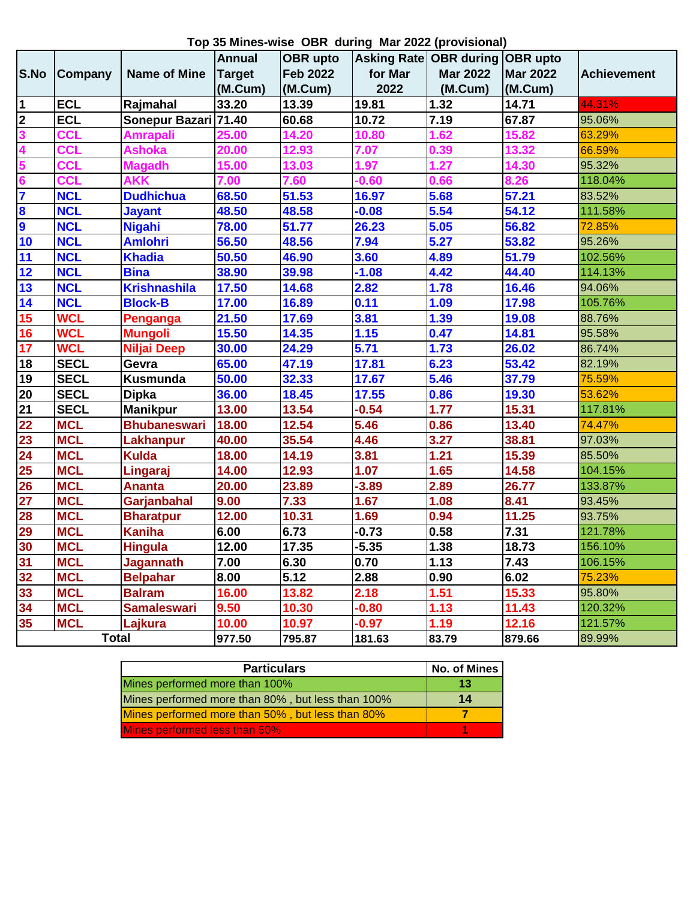**Top 35 Mines-wise OBR during Mar 2022 (provisional)**

|                         |              |                      |               |                 |         | <b>I</b> up as mined wise opin admig marked provisionary |                 |                    |
|-------------------------|--------------|----------------------|---------------|-----------------|---------|----------------------------------------------------------|-----------------|--------------------|
|                         |              |                      | <b>Annual</b> | <b>OBR</b> upto |         | Asking Rate OBR during OBR upto                          |                 |                    |
| S.No                    | Company      | <b>Name of Mine</b>  | <b>Target</b> | <b>Feb 2022</b> | for Mar | <b>Mar 2022</b>                                          | <b>Mar 2022</b> | <b>Achievement</b> |
|                         |              |                      | (M.Cum)       | (M.Cum)         | 2022    | (M.Cum)                                                  | (M.Cum)         |                    |
| $\mathbf 1$             | <b>ECL</b>   | Rajmahal             | 33.20         | 13.39           | 19.81   | 1.32                                                     | 14.71           | 44.31%             |
| $\overline{\mathbf{2}}$ | <b>ECL</b>   | Sonepur Bazari 71.40 |               | 60.68           | 10.72   | 7.19                                                     | 67.87           | 95.06%             |
| 3                       | <b>CCL</b>   | <b>Amrapali</b>      | 25.00         | 14.20           | 10.80   | 1.62                                                     | 15.82           | 63.29%             |
|                         | <b>CCL</b>   | <b>Ashoka</b>        | 20.00         | 12.93           | 7.07    | 0.39                                                     | 13.32           | 66.59%             |
|                         | <b>CCL</b>   | <b>Magadh</b>        | 15.00         | 13.03           | 1.97    | 1.27                                                     | 14.30           | 95.32%             |
| 6                       | <b>CCL</b>   | <b>AKK</b>           | 7.00          | 7.60            | $-0.60$ | 0.66                                                     | 8.26            | 118.04%            |
| 7                       | <b>NCL</b>   | <b>Dudhichua</b>     | 68.50         | 51.53           | 16.97   | 5.68                                                     | 57.21           | 83.52%             |
| $\bf{8}$                | <b>NCL</b>   | <b>Jayant</b>        | 48.50         | 48.58           | $-0.08$ | 5.54                                                     | 54.12           | 111.58%            |
| S)                      | <b>NCL</b>   | <b>Nigahi</b>        | 78.00         | 51.77           | 26.23   | 5.05                                                     | 56.82           | 72.85%             |
| 10                      | <b>NCL</b>   | <b>Amlohri</b>       | 56.50         | 48.56           | 7.94    | 5.27                                                     | 53.82           | 95.26%             |
| 11                      | <b>NCL</b>   | <b>Khadia</b>        | 50.50         | 46.90           | 3.60    | 4.89                                                     | 51.79           | 102.56%            |
| 12                      | <b>NCL</b>   | <b>Bina</b>          | 38.90         | 39.98           | $-1.08$ | 4.42                                                     | 44.40           | 114.13%            |
| 13                      | <b>NCL</b>   | <b>Krishnashila</b>  | 17.50         | 14.68           | 2.82    | 1.78                                                     | 16.46           | 94.06%             |
| 14                      | <b>NCL</b>   | <b>Block-B</b>       | 17.00         | 16.89           | 0.11    | 1.09                                                     | 17.98           | 105.76%            |
| 15                      | <b>WCL</b>   | Penganga             | 21.50         | 17.69           | 3.81    | 1.39                                                     | 19.08           | 88.76%             |
| 16                      | <b>WCL</b>   | <b>Mungoli</b>       | 15.50         | 14.35           | 1.15    | 0.47                                                     | 14.81           | 95.58%             |
| 17                      | <b>WCL</b>   | <b>Niljai Deep</b>   | 30.00         | 24.29           | 5.71    | 1.73                                                     | 26.02           | 86.74%             |
| 18                      | <b>SECL</b>  | Gevra                | 65.00         | 47.19           | 17.81   | 6.23                                                     | 53.42           | 82.19%             |
| 19                      | <b>SECL</b>  | Kusmunda             | 50.00         | 32.33           | 17.67   | 5.46                                                     | 37.79           | 75.59%             |
| 20                      | <b>SECL</b>  | <b>Dipka</b>         | 36.00         | 18.45           | 17.55   | 0.86                                                     | 19.30           | 53.62%             |
| 21                      | <b>SECL</b>  | <b>Manikpur</b>      | 13.00         | 13.54           | $-0.54$ | 1.77                                                     | 15.31           | 117.81%            |
| 22                      | <b>MCL</b>   | <b>Bhubaneswari</b>  | 18.00         | 12.54           | 5.46    | 0.86                                                     | 13.40           | 74.47%             |
| 23                      | <b>MCL</b>   | <b>Lakhanpur</b>     | 40.00         | 35.54           | 4.46    | 3.27                                                     | 38.81           | 97.03%             |
| 24                      | <b>MCL</b>   | <b>Kulda</b>         | 18.00         | 14.19           | 3.81    | 1.21                                                     | 15.39           | 85.50%             |
| 25                      | <b>MCL</b>   | Lingaraj             | 14.00         | 12.93           | 1.07    | 1.65                                                     | 14.58           | 104.15%            |
| 26                      | <b>MCL</b>   | <b>Ananta</b>        | 20.00         | 23.89           | $-3.89$ | 2.89                                                     | 26.77           | 133.87%            |
| 27                      | <b>MCL</b>   | Garjanbahal          | 9.00          | 7.33            | 1.67    | 1.08                                                     | 8.41            | 93.45%             |
| 28                      | <b>MCL</b>   | <b>Bharatpur</b>     | 12.00         | 10.31           | 1.69    | 0.94                                                     | 11.25           | 93.75%             |
| 29                      | <b>MCL</b>   | <b>Kaniha</b>        | 6.00          | 6.73            | $-0.73$ | 0.58                                                     | 7.31            | 121.78%            |
| 30                      | <b>MCL</b>   | <b>Hingula</b>       | 12.00         | 17.35           | $-5.35$ | 1.38                                                     | 18.73           | 156.10%            |
| 31                      | <b>MCL</b>   | <b>Jagannath</b>     | 7.00          | 6.30            | 0.70    | 1.13                                                     | 7.43            | 106.15%            |
| 32                      | <b>MCL</b>   | <b>Belpahar</b>      | 8.00          | 5.12            | 2.88    | 0.90                                                     | 6.02            | 75.23%             |
| 33                      | <b>MCL</b>   | <b>Balram</b>        | 16.00         | 13.82           | 2.18    | 1.51                                                     | 15.33           | 95.80%             |
| 34                      | <b>MCL</b>   | <b>Samaleswari</b>   | 9.50          | 10.30           | $-0.80$ | 1.13                                                     | 11.43           | 120.32%            |
| 35                      | <b>MCL</b>   | Lajkura              | 10.00         | 10.97           | $-0.97$ | 1.19                                                     | 12.16           | 121.57%            |
|                         | <b>Total</b> |                      | 977.50        | 795.87          | 181.63  | 83.79                                                    | 879.66          | 89.99%             |

| <b>Particulars</b>                                | No. of Mines |
|---------------------------------------------------|--------------|
| Mines performed more than 100%                    | 13           |
| Mines performed more than 80%, but less than 100% | 14           |
| Mines performed more than 50%, but less than 80%  |              |
| Mines performed less than 50%                     |              |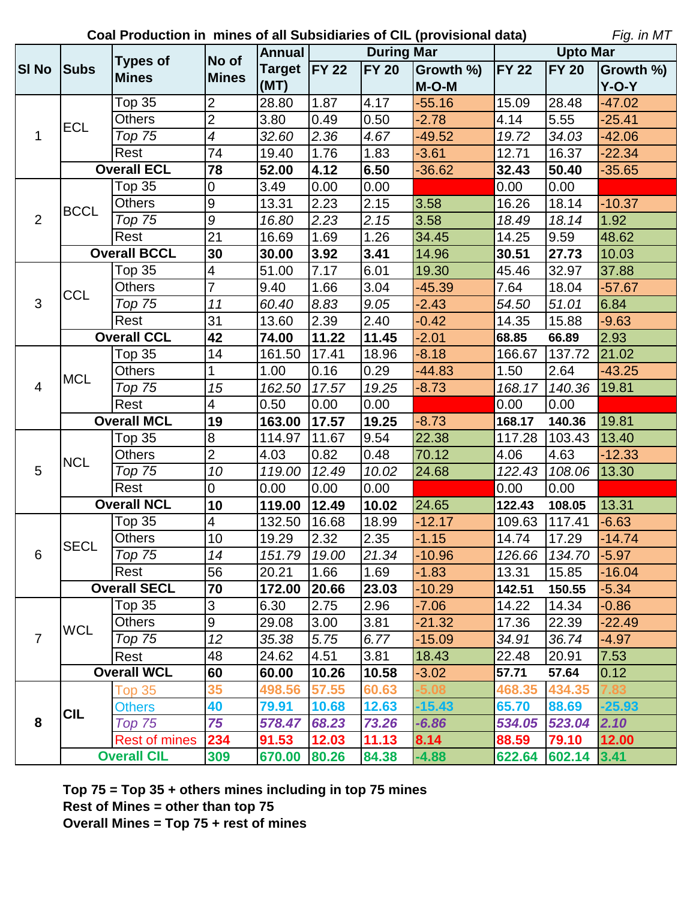**Coal Production in mines of all Subsidiaries of CIL (provisional data)**

*Fig. in MT*

|                |             | <b>Types of</b>      | No of                    | <b>Annual</b>  |       | <b>During Mar</b> |                 |        | <b>Upto Mar</b>     |                  |
|----------------|-------------|----------------------|--------------------------|----------------|-------|-------------------|-----------------|--------|---------------------|------------------|
| <b>SI No</b>   | <b>Subs</b> |                      | <b>Mines</b>             | Target   FY 22 |       | <b>FY 20</b>      | Growth %) FY 22 |        | <b>FY 20</b>        | <b>Growth %)</b> |
|                |             | <b>Mines</b>         |                          | (MT)           |       |                   | $M-O-M$         |        |                     | Y-O-Y            |
|                |             | Top 35               | $\overline{2}$           | 28.80          | 1.87  | 4.17              | $-55.16$        | 15.09  | 28.48               | $-47.02$         |
|                | <b>ECL</b>  | <b>Others</b>        | $\overline{2}$           | 3.80           | 0.49  | 0.50              | $-2.78$         | 4.14   | 5.55                | $-25.41$         |
| $\mathbf{1}$   |             | Top 75               | $\overline{\mathcal{A}}$ | 32.60          | 2.36  | 4.67              | $-49.52$        | 19.72  | 34.03               | $-42.06$         |
|                |             | Rest                 | 74                       | 19.40          | 1.76  | 1.83              | $-3.61$         | 12.71  | 16.37               | $-22.34$         |
|                |             | <b>Overall ECL</b>   | 78                       | 52.00          | 4.12  | 6.50              | $-36.62$        | 32.43  | 50.40               | $-35.65$         |
|                |             | <b>Top 35</b>        | $\mathbf 0$              | 3.49           | 0.00  | 0.00              |                 | 0.00   | 0.00                |                  |
|                | <b>BCCL</b> | <b>Others</b>        | $\overline{9}$           | 13.31          | 2.23  | 2.15              | 3.58            | 16.26  | 18.14               | $-10.37$         |
| 2              |             | Top 75               | $\boldsymbol{9}$         | 16.80          | 2.23  | 2.15              | 3.58            | 18.49  | 18.14               | 1.92             |
|                |             | Rest                 | $\overline{21}$          | 16.69          | 1.69  | 1.26              | 34.45           | 14.25  | 9.59                | 48.62            |
|                |             | <b>Overall BCCL</b>  | 30                       | 30.00          | 3.92  | 3.41              | 14.96           | 30.51  | 27.73               | 10.03            |
|                |             | <b>Top 35</b>        | 4                        | 51.00          | 7.17  | 6.01              | 19.30           | 45.46  | 32.97               | 37.88            |
|                | <b>CCL</b>  | <b>Others</b>        | $\overline{7}$           | 9.40           | 1.66  | 3.04              | $-45.39$        | 7.64   | 18.04               | $-57.67$         |
| 3              |             | <b>Top 75</b>        | 11                       | 60.40          | 8.83  | 9.05              | $-2.43$         | 54.50  | 51.01               | 6.84             |
|                |             | Rest                 | 31                       | 13.60          | 2.39  | 2.40              | $-0.42$         | 14.35  | 15.88               | $-9.63$          |
|                |             | <b>Overall CCL</b>   |                          | 74.00          | 11.22 | 11.45             | $-2.01$         | 68.85  | 66.89               | 2.93             |
|                |             | Top 35               | 14                       | 161.50         | 17.41 | 18.96             | $-8.18$         | 166.67 | 137.72              | 21.02            |
|                | <b>MCL</b>  | <b>Others</b>        | 1                        | 1.00           | 0.16  | 0.29              | $-44.83$        | 1.50   | 2.64                | $-43.25$         |
| $\overline{4}$ |             | Top 75               | 15                       | 162.50         | 17.57 | 19.25             | $-8.73$         | 168.17 | 140.36              | 19.81            |
|                |             | Rest                 | $\overline{\mathbf{4}}$  | 0.50           | 0.00  | 0.00              |                 | 0.00   | 0.00                |                  |
|                |             | <b>Overall MCL</b>   | 19                       | 163.00         | 17.57 | 19.25             | $-8.73$         | 168.17 | 140.36              | 19.81            |
|                | <b>NCL</b>  | Top 35               | 8                        | 114.97         | 11.67 | 9.54              | 22.38           | 117.28 | 103.43              | 13.40            |
|                |             | <b>Others</b>        | $\overline{2}$           | 4.03           | 0.82  | 0.48              | 70.12           | 4.06   | 4.63                | $-12.33$         |
| 5              |             | Top 75               | 10                       | 119.00         | 12.49 | 10.02             | 24.68           | 122.43 | 108.06              | 13.30            |
|                |             | Rest                 | $\overline{0}$           | 0.00           | 0.00  | 0.00              |                 | 0.00   | 0.00                |                  |
|                |             | <b>Overall NCL</b>   | 10                       | 119.00         | 12.49 | 10.02             | 24.65           | 122.43 | 108.05              | 13.31            |
|                |             | <b>Top 35</b>        | $\overline{4}$           | 132.50         | 16.68 | 18.99             | $-12.17$        | 109.63 | 117.41              | $-6.63$          |
|                | <b>SECL</b> | <b>Others</b>        | 10                       | 19.29          | 2.32  | 2.35              | $-1.15$         | 14.74  | 17.29               | $-14.74$         |
| 6              |             | Top $75$             | $\overline{14}$          | 151.79 19.00   |       | 21.34             | $-10.96$        |        | 126.66 134.70 -5.97 |                  |
|                |             | Rest                 | 56                       | 20.21          | 1.66  | 1.69              | $-1.83$         | 13.31  | 15.85               | $-16.04$         |
|                |             | <b>Overall SECL</b>  | 70                       | 172.00         | 20.66 | 23.03             | $-10.29$        | 142.51 | 150.55              | $-5.34$          |
|                |             | Top <sub>35</sub>    | 3                        | 6.30           | 2.75  | 2.96              | $-7.06$         | 14.22  | 14.34               | $-0.86$          |
|                | <b>WCL</b>  | <b>Others</b>        | 9                        | 29.08          | 3.00  | 3.81              | $-21.32$        | 17.36  | 22.39               | $-22.49$         |
| $\overline{7}$ |             | Top 75               | 12                       | 35.38          | 5.75  | 6.77              | $-15.09$        | 34.91  | 36.74               | $-4.97$          |
|                |             | Rest                 | 48                       | 24.62          | 4.51  | 3.81              | 18.43           | 22.48  | 20.91               | 7.53             |
|                |             | <b>Overall WCL</b>   | 60                       | 60.00          | 10.26 | 10.58             | $-3.02$         | 57.71  | 57.64               | 0.12             |
|                |             | <b>Top 35</b>        | 35                       | 498.56         | 57.55 | 60.63             |                 | 468.35 | 434.35              |                  |
|                | <b>CIL</b>  | <b>Others</b>        | 40                       | 79.91          | 10.68 | 12.63             | $-15.43$        | 65.70  | 88.69               | $-25.93$         |
| 8              |             | Top 75               | 75                       | 578.47         | 68.23 | 73.26             | -6.86           |        | 534.05 523.04       | 2.10             |
|                |             | <b>Rest of mines</b> | 234                      | 91.53          | 12.03 | 11.13             | 8.14            | 88.59  | 79.10               | 12.00            |
|                |             | <b>Overall CIL</b>   | 309                      | 670.00         | 80.26 | 84.38             | $-4.88$         |        | 622.64 602.14 3.41  |                  |

**Top 75 = Top 35 + others mines including in top 75 mines Rest of Mines = other than top 75 Overall Mines = Top 75 + rest of mines**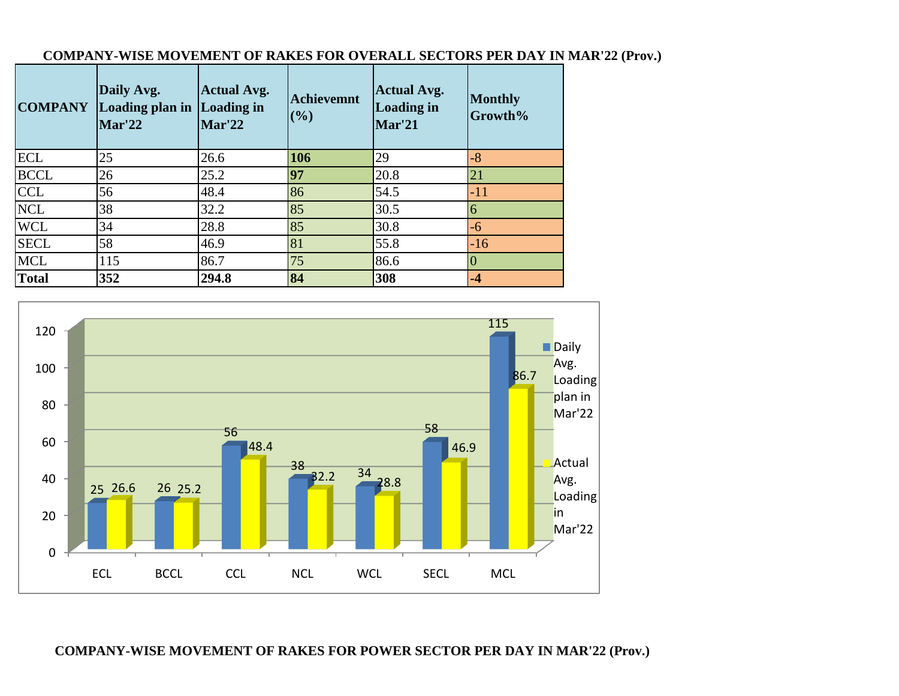|              | Daily Avg.<br><b>COMPANY</b> Loading plan in<br>Mar'22 | <b>Actual Avg.</b><br>Loading in<br>Mar'22 | <b>Achievemnt</b><br>(%) | <b>Actual Avg.</b><br><b>Loading in</b><br>Mar'21 | <b>Monthly</b><br>Growth% |
|--------------|--------------------------------------------------------|--------------------------------------------|--------------------------|---------------------------------------------------|---------------------------|
| <b>ECL</b>   | 25                                                     | 26.6                                       | 106                      | 29                                                | $-8$                      |
| <b>BCCL</b>  | 26                                                     | 25.2                                       | 97                       | 20.8                                              | 21                        |
| <b>CCL</b>   | 56                                                     | 48.4                                       | 86                       | 54.5                                              | $-11$                     |
| <b>NCL</b>   | 38                                                     | 32.2                                       | 85                       | 30.5                                              | 6                         |
| <b>WCL</b>   | 34                                                     | 28.8                                       | 85                       | 30.8                                              | -6                        |
| <b>SECL</b>  | 58                                                     | 46.9                                       | 81                       | 55.8                                              | $-16$                     |
| <b>MCL</b>   | 115                                                    | 86.7                                       | 75                       | 86.6                                              |                           |
| <b>Total</b> | 352                                                    | 294.8                                      | 84                       | 308                                               | $-4$                      |

# **COMPANY-WISE MOVEMENT OF RAKES FOR OVERALL SECTORS PER DAY IN MAR'22 (Prov.)**



## **COMPANY-WISE MOVEMENT OF RAKES FOR POWER SECTOR PER DAY IN MAR'22 (Prov.)**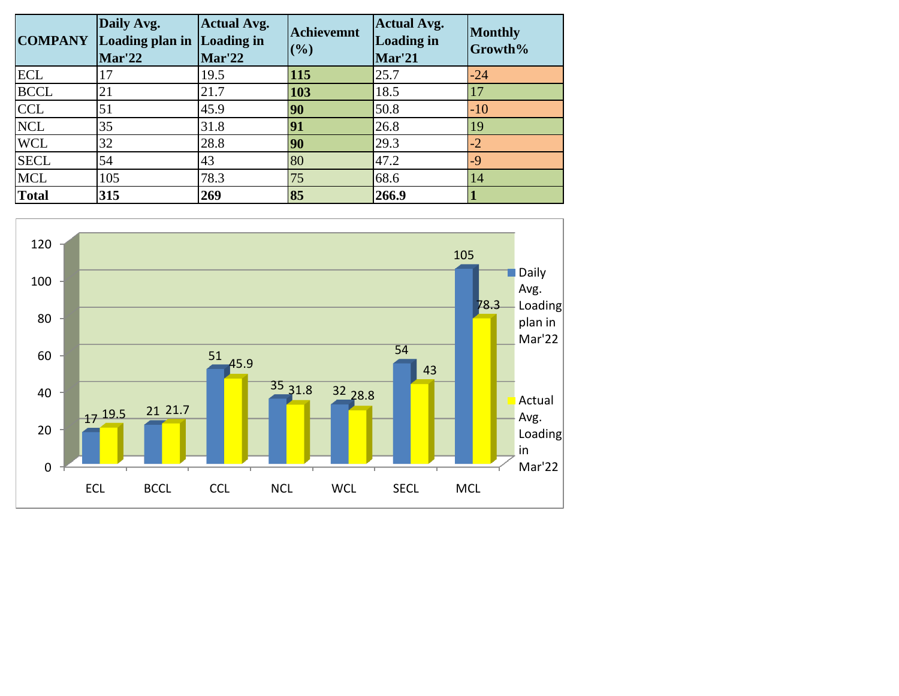| <b>COMPANY</b> | Daily Avg.<br>Loading plan in<br>Mar'22 | <b>Actual Avg.</b><br><b>Loading in</b><br><b>Mar'22</b> | <b>Achievemnt</b><br>(%) | <b>Actual Avg.</b><br><b>Loading in</b><br>Mar'21 | <b>Monthly</b><br>Growth% |
|----------------|-----------------------------------------|----------------------------------------------------------|--------------------------|---------------------------------------------------|---------------------------|
| <b>ECL</b>     | 17                                      | 19.5                                                     | 115                      | 25.7                                              | $-24$                     |
| <b>BCCL</b>    | 21                                      | 21.7                                                     | 103                      | 18.5                                              |                           |
| <b>CCL</b>     | 51                                      | 45.9                                                     | 90                       | 50.8                                              | $-10$                     |
| <b>NCL</b>     | 35                                      | 31.8                                                     | 91                       | 26.8                                              | 19                        |
| <b>WCL</b>     | 32                                      | 28.8                                                     | 90                       | 29.3                                              | $-2$                      |
| <b>SECL</b>    | 54                                      | 43                                                       | 80                       | 47.2                                              | $-9$                      |
| <b>MCL</b>     | 105                                     | 78.3                                                     | 75                       | 68.6                                              | 14                        |
| <b>Total</b>   | 315                                     | 269                                                      | 85                       | 266.9                                             |                           |

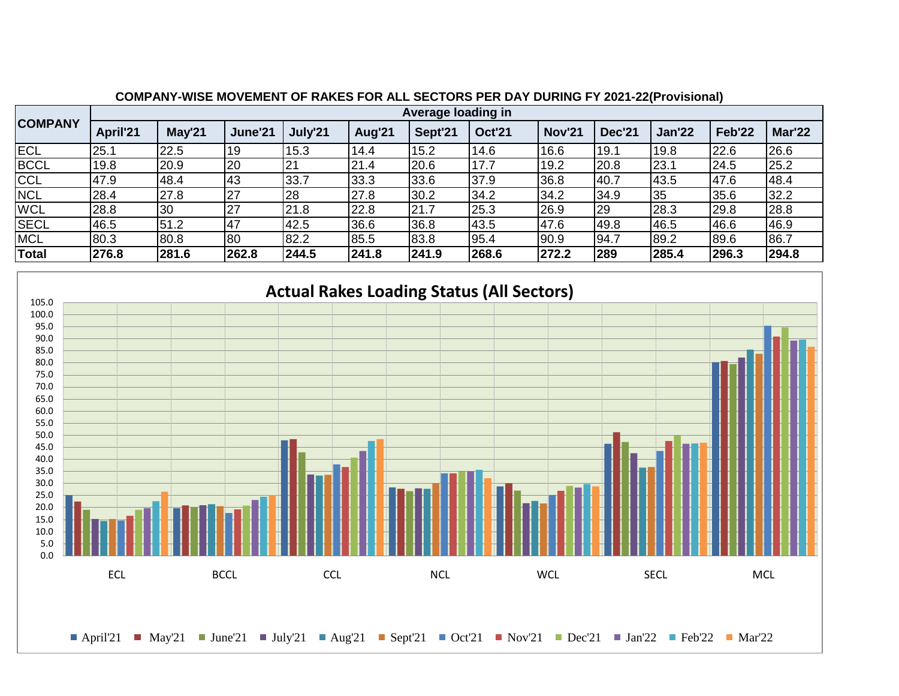|                |          | Average loading in |         |                 |        |         |               |               |               |               |        |               |  |  |
|----------------|----------|--------------------|---------|-----------------|--------|---------|---------------|---------------|---------------|---------------|--------|---------------|--|--|
| <b>COMPANY</b> | April'21 | May'21             | June'21 | July'21         | Aug'21 | Sept'21 | <b>Oct'21</b> | <b>Nov'21</b> | <b>Dec'21</b> | <b>Jan'22</b> | Feb'22 | <b>Mar'22</b> |  |  |
| <b>ECL</b>     | 25.1     | 22.5               | 19      | 15.3            | 14.4   | 15.2    | 14.6          | 16.6          | 19.1          | 19.8          | 22.6   | 26.6          |  |  |
| <b>BCCL</b>    | 19.8     | 20.9               | 20      | $\overline{21}$ | 21.4   | 20.6    | 17.7          | 19.2          | 20.8          | 23.1          | 24.5   | 25.2          |  |  |
| <b>CCL</b>     | 47.9     | 48.4               | 43      | 33.7            | 33.3   | 33.6    | 37.9          | 36.8          | 40.7          | 43.5          | 47.6   | 48.4          |  |  |
| <b>NCL</b>     | 28.4     | 27.8               | 27      | 28              | 27.8   | 30.2    | 34.2          | 34.2          | 34.9          | 35            | 35.6   | 32.2          |  |  |
| <b>WCL</b>     | 28.8     | <b>30</b>          | 27      | 21.8            | 22.8   | 21.7    | 25.3          | 26.9          | 29            | 28.3          | 29.8   | 28.8          |  |  |
| <b>SECL</b>    | 46.5     | 51.2               | 47      | 42.5            | 36.6   | 36.8    | 43.5          | 47.6          | 49.8          | 46.5          | 46.6   | 46.9          |  |  |
| <b>MCL</b>     | 80.3     | 80.8               | 80      | 82.2            | 85.5   | 83.8    | 95.4          | 90.9          | 94.7          | 89.2          | 89.6   | 86.7          |  |  |
| <b>Total</b>   | 276.8    | 281.6              | 262.8   | 244.5           | 241.8  | 241.9   | 268.6         | 272.2         | 289           | 285.4         | 296.3  | 294.8         |  |  |
|                |          |                    |         |                 |        |         |               |               |               |               |        |               |  |  |

### **COMPANY-WISE MOVEMENT OF RAKES FOR ALL SECTORS PER DAY DURING FY 2021-22(Provisional)**